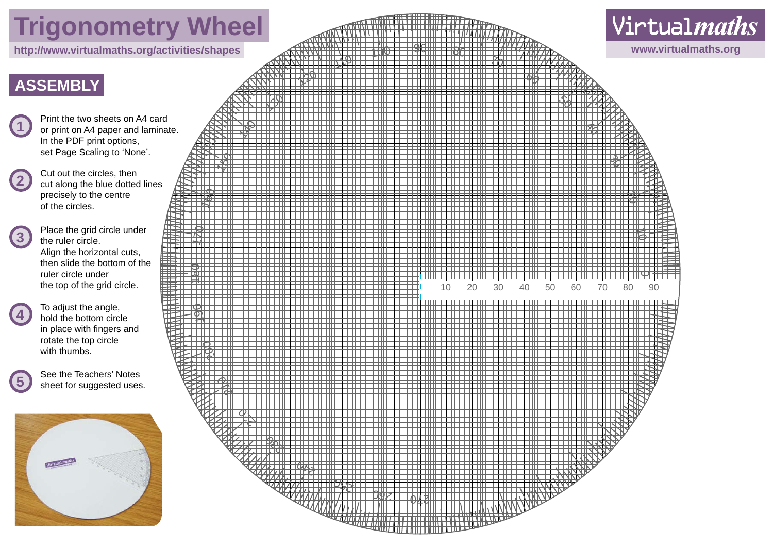# **Trigonometry Wheel**

### **ASSEMBLY**

- **1** Print the two sheets on A4 card<br>or print on A4 paper and laminate. In the PDF print options, set Page Scaling to 'None'.
- 2 Cut out the circles, then<br>cut along the blue dotted lines precisely to the centre of the circles.
	- **3** Place the grid circle under the ruler circle. Align the horizontal cuts, then slide the bottom of the ruler circle under the top of the grid circle.
- **4** To adjust the angle,<br>hold the bottom circle in place with fingers and rotate the top circle with thumbs.
- **5** See the Teachers' Notes sheet for suggested uses.



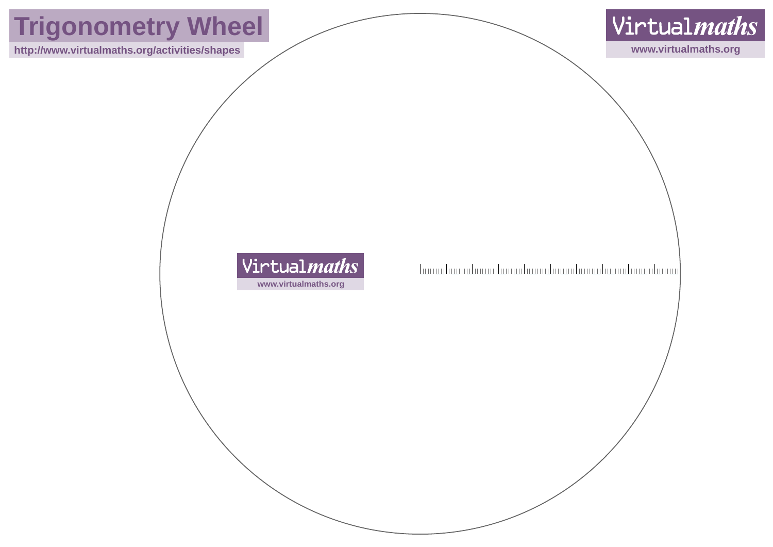## **Trigonometry Wheel**

**http://www.virtualmaths.org/activities/shapes www.virtualmaths.org**



### **Virtualmaths www.virtualmaths.org**

- Լաուանատանությունն դարձանատանությունների արևմտար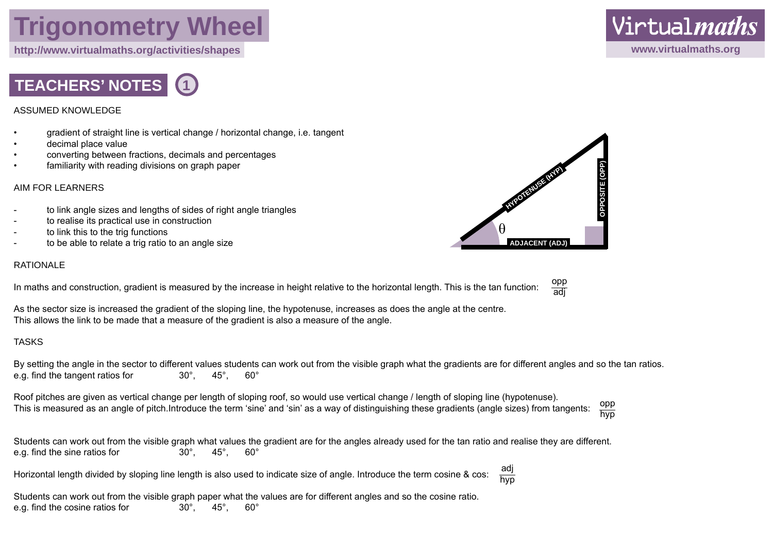### **Trigonometry Wheel**

**http://www.virtualmaths.org/activities/shapes www.virtualmaths.org**



#### ASSUMED KNOWLEDGE

- gradient of straight line is vertical change / horizontal change, i.e. tangent
- decimal place value
- converting between fractions, decimals and percentages
- familiarity with reading divisions on graph paper

#### AIM FOR LEARNERS

- to link angle sizes and lengths of sides of right angle triangles
- to realise its practical use in construction
- to link this to the trig functions
- to be able to relate a trig ratio to an angle size

#### RATIONALE

In maths and construction, gradient is measured by the increase in height relative to the horizontal length. This is the tan function:

As the sector size is increased the gradient of the sloping line, the hypotenuse, increases as does the angle at the centre. This allows the link to be made that a measure of the gradient is also a measure of the angle.

#### TASKS

By setting the angle in the sector to different values students can work out from the visible graph what the gradients are for different angles and so the tan ratios. e.g. find the tangent ratios for 30°, 45°, 60°

Roof pitches are given as vertical change per length of sloping roof, so would use vertical change / length of sloping line (hypotenuse). This is measured as an angle of pitch.Introduce the term 'sine' and 'sin' as a way of distinguishing these gradients (angle sizes) from tangents: opp

Students can work out from the visible graph what values the gradient are for the angles already used for the tan ratio and realise they are different. e.g. find the sine ratios for 30°, 45°, 60°

Horizontal length divided by sloping line length is also used to indicate size of angle. Introduce the term cosine & cos: adj hyn

Students can work out from the visible graph paper what the values are for different angles and so the cosine ratio. e.g. find the cosine ratios for 30°, 45°, 60°



opp adj